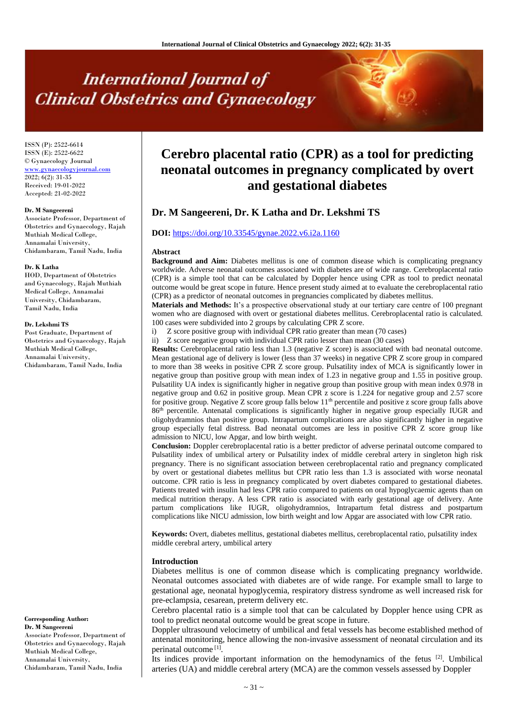# **International Journal of Clinical Obstetrics and Gynaecology**

ISSN (P): 2522-6614 ISSN (E): 2522-6622 © Gynaecology Journal <www.gynaecologyjournal.com>  $2022; 6(2): 31-35$ Received: 19-01-2022 Accepted: 21-02-2022

#### **Dr. M Sangeereni**

Associate Professor, Department of Obstetrics and Gynaecology, Rajah Muthiah Medical College, Annamalai University, Chidambaram, Tamil Nadu, India

#### **Dr. K Latha**

HOD, Department of Obstetrics and Gynaecology, Rajah Muthiah Medical College, Annamalai University, Chidambaram, Tamil Nadu, India

#### **Dr. Lekshmi TS**

Post Graduate, Department of Obstetrics and Gynaecology, Rajah Muthiah Medical College, Annamalai University, Chidambaram, Tamil Nadu, India

**Corresponding Author: Dr. M Sangeereni** Associate Professor, Department of

Obstetrics and Gynaecology, Rajah Muthiah Medical College, Annamalai University, Chidambaram, Tamil Nadu, India

# **Cerebro placental ratio (CPR) as a tool for predicting neonatal outcomes in pregnancy complicated by overt and gestational diabetes**

# **Dr. M Sangeereni, Dr. K Latha and Dr. Lekshmi TS**

#### **DOI:** <https://doi.org/10.33545/gynae.2022.v6.i2a.1160>

#### **Abstract**

**Background and Aim:** Diabetes mellitus is one of common disease which is complicating pregnancy worldwide. Adverse neonatal outcomes associated with diabetes are of wide range. Cerebroplacental ratio (CPR) is a simple tool that can be calculated by Doppler hence using CPR as tool to predict neonatal outcome would be great scope in future. Hence present study aimed at to evaluate the cerebroplacental ratio (CPR) as a predictor of neonatal outcomes in pregnancies complicated by diabetes mellitus.

**Materials and Methods:** It's a prospective observational study at our tertiary care centre of 100 pregnant women who are diagnosed with overt or gestational diabetes mellitus. Cerebroplacental ratio is calculated. 100 cases were subdivided into 2 groups by calculating CPR Z score.

i) Z score positive group with individual CPR ratio greater than mean (70 cases)

ii) Z score negative group with individual CPR ratio lesser than mean (30 cases)

**Results:** Cerebroplacental ratio less than 1.3 (negative Z score) is associated with bad neonatal outcome. Mean gestational age of delivery is lower (less than 37 weeks) in negative CPR Z score group in compared to more than 38 weeks in positive CPR Z score group. Pulsatility index of MCA is significantly lower in negative group than positive group with mean index of 1.23 in negative group and 1.55 in positive group. Pulsatility UA index is significantly higher in negative group than positive group with mean index 0.978 in negative group and 0.62 in positive group. Mean CPR z score is 1.224 for negative group and 2.57 score for positive group. Negative Z score group falls below 11<sup>th</sup> percentile and positive z score group falls above 86th percentile. Antenatal complications is significantly higher in negative group especially IUGR and oligohydramnios than positive group. Intrapartum complications are also significantly higher in negative group especially fetal distress. Bad neonatal outcomes are less in positive CPR Z score group like admission to NICU, low Apgar, and low birth weight.

**Conclusion:** Doppler cerebroplacental ratio is a better predictor of adverse perinatal outcome compared to Pulsatility index of umbilical artery or Pulsatility index of middle cerebral artery in singleton high risk pregnancy. There is no significant association between cerebroplacental ratio and pregnancy complicated by overt or gestational diabetes mellitus but CPR ratio less than 1.3 is associated with worse neonatal outcome. CPR ratio is less in pregnancy complicated by overt diabetes compared to gestational diabetes. Patients treated with insulin had less CPR ratio compared to patients on oral hypoglycaemic agents than on medical nutrition therapy. A less CPR ratio is associated with early gestational age of delivery. Ante partum complications like IUGR, oligohydramnios, Intrapartum fetal distress and postpartum complications like NICU admission, low birth weight and low Apgar are associated with low CPR ratio.

**Keywords:** Overt, diabetes mellitus, gestational diabetes mellitus, cerebroplacental ratio, pulsatility index middle cerebral artery, umbilical artery

#### **Introduction**

Diabetes mellitus is one of common disease which is complicating pregnancy worldwide. Neonatal outcomes associated with diabetes are of wide range. For example small to large to gestational age, neonatal hypoglycemia, respiratory distress syndrome as well increased risk for pre-eclampsia, cesarean, preterm delivery etc.

Cerebro placental ratio is a simple tool that can be calculated by Doppler hence using CPR as tool to predict neonatal outcome would be great scope in future.

Doppler ultrasound velocimetry of umbilical and fetal vessels has become established method of antenatal monitoring, hence allowing the non-invasive assessment of neonatal circulation and its perinatal outcome<sup>[1]</sup>.

Its indices provide important information on the hemodynamics of the fetus  $[2]$ . Umbilical arteries (UA) and middle cerebral artery (MCA) are the common vessels assessed by Doppler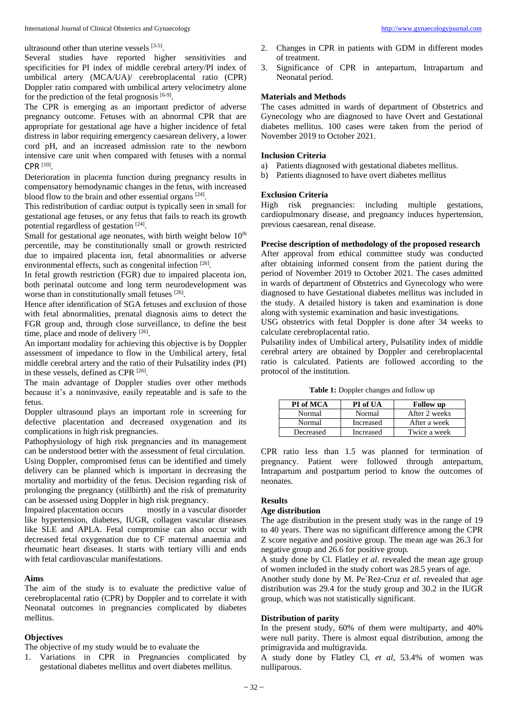ultrasound other than uterine vessels [3-5].

Several studies have reported higher sensitivities and specificities for PI index of middle cerebral artery/PI index of umbilical artery (MCA/UA)/ cerebroplacental ratio (CPR) Doppler ratio compared with umbilical artery velocimetry alone for the prediction of the fetal prognosis [6-9].

The CPR is emerging as an important predictor of adverse pregnancy outcome. Fetuses with an abnormal CPR that are appropriate for gestational age have a higher incidence of fetal distress in labor requiring emergency caesarean delivery, a lower cord pH, and an increased admission rate to the newborn intensive care unit when compared with fetuses with a normal  $CPR$ <sup>[10]</sup>.

Deterioration in placenta function during pregnancy results in compensatory hemodynamic changes in the fetus, with increased blood flow to the brain and other essential organs [24].

This redistribution of cardiac output is typically seen in small for gestational age fetuses, or any fetus that fails to reach its growth potential regardless of gestation [24].

Small for gestational age neonates, with birth weight below  $10<sup>th</sup>$ percentile, may be constitutionally small or growth restricted due to impaired placenta ion, fetal abnormalities or adverse environmental effects, such as congenital infection [26].

In fetal growth restriction (FGR) due to impaired placenta ion, both perinatal outcome and long term neurodevelopment was worse than in constitutionally small fetuses [26].

Hence after identification of SGA fetuses and exclusion of those with fetal abnormalities, prenatal diagnosis aims to detect the FGR group and, through close surveillance, to define the best time, place and mode of delivery [26].

An important modality for achieving this objective is by Doppler assessment of impedance to flow in the Umbilical artery, fetal middle cerebral artery and the ratio of their Pulsatility index (PI) in these vessels, defined as CPR<sup>[26]</sup>.

The main advantage of Doppler studies over other methods because it's a noninvasive, easily repeatable and is safe to the fetus.

Doppler ultrasound plays an important role in screening for defective placentation and decreased oxygenation and its complications in high risk pregnancies.

Pathophysiology of high risk pregnancies and its management can be understood better with the assessment of fetal circulation. Using Doppler, compromised fetus can be identified and timely delivery can be planned which is important in decreasing the mortality and morbidity of the fetus. Decision regarding risk of prolonging the pregnancy (stillbirth) and the risk of prematurity can be assessed using Doppler in high risk pregnancy.

Impaired placentation occurs mostly in a vascular disorder like hypertension, diabetes, IUGR, collagen vascular diseases like SLE and APLA. Fetal compromise can also occur with decreased fetal oxygenation due to CF maternal anaemia and rheumatic heart diseases. It starts with tertiary villi and ends with fetal cardiovascular manifestations.

#### **Aims**

The aim of the study is to evaluate the predictive value of cerebroplacental ratio (CPR) by Doppler and to correlate it with Neonatal outcomes in pregnancies complicated by diabetes mellitus.

# **Objectives**

The objective of my study would be to evaluate the

1. Variations in CPR in Pregnancies complicated by gestational diabetes mellitus and overt diabetes mellitus.

- 2. Changes in CPR in patients with GDM in different modes of treatment.
- 3. Significance of CPR in antepartum, Intrapartum and Neonatal period.

# **Materials and Methods**

The cases admitted in wards of department of Obstetrics and Gynecology who are diagnosed to have Overt and Gestational diabetes mellitus. 100 cases were taken from the period of November 2019 to October 2021.

#### **Inclusion Criteria**

- a) Patients diagnosed with gestational diabetes mellitus.
- b) Patients diagnosed to have overt diabetes mellitus

#### **Exclusion Criteria**

High risk pregnancies: including multiple gestations, cardiopulmonary disease, and pregnancy induces hypertension, previous caesarean, renal disease.

# **Precise description of methodology of the proposed research**

After approval from ethical committee study was conducted after obtaining informed consent from the patient during the period of November 2019 to October 2021. The cases admitted in wards of department of Obstetrics and Gynecology who were diagnosed to have Gestational diabetes mellitus was included in the study. A detailed history is taken and examination is done along with systemic examination and basic investigations.

USG obstetrics with fetal Doppler is done after 34 weeks to calculate cerebroplacental ratio.

Pulsatility index of Umbilical artery, Pulsatility index of middle cerebral artery are obtained by Doppler and cerebroplacental ratio is calculated. Patients are followed according to the protocol of the institution.

**Table 1:** Doppler changes and follow up

| PI of MCA | PI of UA  | <b>Follow</b> up |
|-----------|-----------|------------------|
| Normal    | Normal    | After 2 weeks    |
| Normal    | Increased | After a week     |
| Decreased | Increased | Twice a week     |

CPR ratio less than 1.5 was planned for termination of pregnancy. Patient were followed through antepartum, Intrapartum and postpartum period to know the outcomes of neonates.

# **Results**

# **Age distribution**

The age distribution in the present study was in the range of 19 to 40 years. There was no significant difference among the CPR Z score negative and positive group. The mean age was 26.3 for negative group and 26.6 for positive group.

A study done by Cl. Flatley *et al*. revealed the mean age group of women included in the study cohort was 28.5 years of age.

Another study done by M. Pe´Rez-Cruz *et al*. revealed that age distribution was 29.4 for the study group and 30.2 in the IUGR group, which was not statistically significant.

#### **Distribution of parity**

In the present study, 60% of them were multiparty, and 40% were null parity. There is almost equal distribution, among the primigravida and multigravida.

A study done by Flatley Cl, *et al*, 53.4% of women was nulliparous.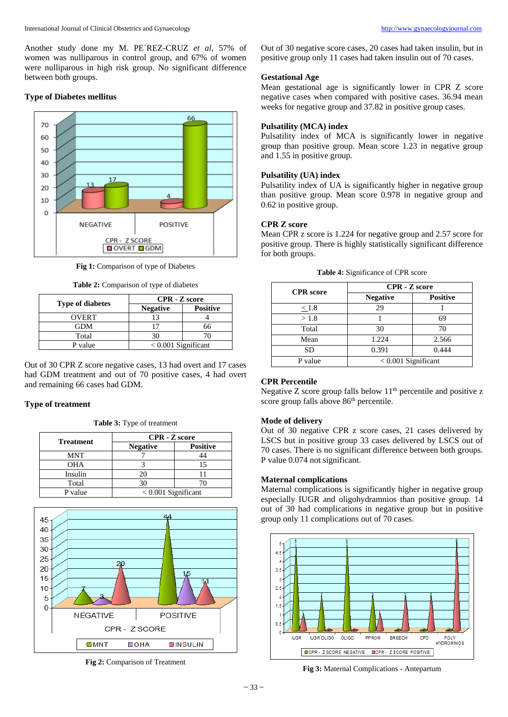Another study done my M. PE´REZ-CRUZ *et al*, 57% of women was nulliparous in control group, and 67% of women were nulliparous in high risk group. No significant difference between both groups.

# **Type of Diabetes mellitus**



**Fig 1:** Comparison of type of Diabetes

**Table 2:** Comparison of type of diabetes

| <b>Type of diabetes</b> | <b>CPR</b> - <b>Z</b> score |                 |
|-------------------------|-----------------------------|-----------------|
|                         | <b>Negative</b>             | <b>Positive</b> |
| <b>OVERT</b>            |                             |                 |
| GDM                     |                             |                 |
| Total                   |                             |                 |
| P value                 | $< 0.001$ Significant       |                 |

Out of 30 CPR Z score negative cases, 13 had overt and 17 cases had GDM treatment and out of 70 positive cases, 4 had overt and remaining 66 cases had GDM.

# **Type of treatment**

**Table 3:** Type of treatment

|                  | <b>CPR</b> - <b>Z</b> score |                 |
|------------------|-----------------------------|-----------------|
| <b>Treatment</b> | <b>Negative</b>             | <b>Positive</b> |
| MNT              |                             |                 |
| OHA              |                             |                 |
| Insulin          | 20                          |                 |
| Total            | 30                          |                 |
| P value          | $< 0.001$ Significant       |                 |



**Fig 2:** Comparison of Treatment

Out of 30 negative score cases, 20 cases had taken insulin, but in positive group only 11 cases had taken insulin out of 70 cases.

#### **Gestational Age**

Mean gestational age is significantly lower in CPR Z score negative cases when compared with positive cases. 36.94 mean weeks for negative group and 37.82 in positive group cases.

# **Pulsatility (MCA) index**

Pulsatility index of MCA is significantly lower in negative group than positive group. Mean score 1.23 in negative group and 1.55 in positive group.

#### **Pulsatility (UA) index**

Pulsatility index of UA is significantly higher in negative group than positive group. Mean score 0.978 in negative group and 0.62 in positive group.

# **CPR Z score**

Mean CPR z score is 1.224 for negative group and 2.57 score for positive group. There is highly statistically significant difference for both groups.

|                  | <b>CPR</b> - <b>Z</b> score |                 |
|------------------|-----------------------------|-----------------|
| <b>CPR</b> score | <b>Negative</b>             | <b>Positive</b> |
| $\leq$ 1.8       | 29                          |                 |
| >1.8             |                             | 69              |
| Total            | 30                          | 70              |
| Mean             | 1.224                       | 2.566           |
| SD               | 0.391                       | 0.444           |
| P value          | $< 0.001$ Significant       |                 |

|  | Table 4: Significance of CPR score |  |  |
|--|------------------------------------|--|--|
|--|------------------------------------|--|--|

# **CPR Percentile**

Negative  $Z$  score group falls below  $11<sup>th</sup>$  percentile and positive  $z$ score group falls above 86<sup>th</sup> percentile.

#### **Mode of delivery**

Out of 30 negative CPR z score cases, 21 cases delivered by LSCS but in positive group 33 cases delivered by LSCS out of 70 cases. There is no significant difference between both groups. P value 0.074 not significant.

#### **Maternal complications**

Maternal complications is significantly higher in negative group especially IUGR and oligohydramnios than positive group. 14 out of 30 had complications in negative group but in positive group only 11 complications out of 70 cases.



**Fig 3:** Maternal Complications - Antepartum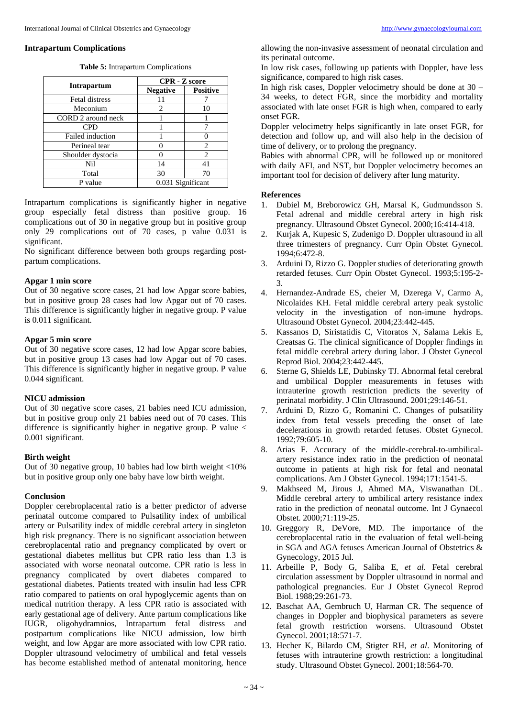#### **Intrapartum Complications**

|                         | <b>CPR</b> - <b>Z</b> score |                 |  |
|-------------------------|-----------------------------|-----------------|--|
| <b>Intrapartum</b>      | <b>Negative</b>             | <b>Positive</b> |  |
| Fetal distress          |                             |                 |  |
| Meconium                | 2                           |                 |  |
| CORD 2 around neck      |                             |                 |  |
| <b>CPD</b>              |                             |                 |  |
| <b>Failed induction</b> |                             |                 |  |
| Perineal tear           |                             | $\mathfrak{D}$  |  |
| Shoulder dystocia       |                             | $\mathfrak{D}$  |  |
| Nil                     | 14                          | 41              |  |
| Total                   | 30                          | 70              |  |
| P value                 | 0.031 Significant           |                 |  |

Intrapartum complications is significantly higher in negative group especially fetal distress than positive group. 16 complications out of 30 in negative group but in positive group only 29 complications out of 70 cases, p value 0.031 is significant.

No significant difference between both groups regarding postpartum complications.

# **Apgar 1 min score**

Out of 30 negative score cases, 21 had low Apgar score babies, but in positive group 28 cases had low Apgar out of 70 cases. This difference is significantly higher in negative group. P value is 0.011 significant.

# **Apgar 5 min score**

Out of 30 negative score cases, 12 had low Apgar score babies, but in positive group 13 cases had low Apgar out of 70 cases. This difference is significantly higher in negative group. P value 0.044 significant.

#### **NICU admission**

Out of 30 negative score cases, 21 babies need ICU admission, but in positive group only 21 babies need out of 70 cases. This difference is significantly higher in negative group. P value  $\lt$ 0.001 significant.

#### **Birth weight**

Out of 30 negative group, 10 babies had low birth weight <10% but in positive group only one baby have low birth weight.

# **Conclusion**

Doppler cerebroplacental ratio is a better predictor of adverse perinatal outcome compared to Pulsatility index of umbilical artery or Pulsatility index of middle cerebral artery in singleton high risk pregnancy. There is no significant association between cerebroplacental ratio and pregnancy complicated by overt or gestational diabetes mellitus but CPR ratio less than 1.3 is associated with worse neonatal outcome. CPR ratio is less in pregnancy complicated by overt diabetes compared to gestational diabetes. Patients treated with insulin had less CPR ratio compared to patients on oral hypoglycemic agents than on medical nutrition therapy. A less CPR ratio is associated with early gestational age of delivery. Ante partum complications like IUGR, oligohydramnios, Intrapartum fetal distress and postpartum complications like NICU admission, low birth weight, and low Apgar are more associated with low CPR ratio. Doppler ultrasound velocimetry of umbilical and fetal vessels has become established method of antenatal monitoring, hence

allowing the non-invasive assessment of neonatal circulation and its perinatal outcome.

In low risk cases, following up patients with Doppler, have less significance, compared to high risk cases.

In high risk cases, Doppler velocimetry should be done at 30 – 34 weeks, to detect FGR, since the morbidity and mortality associated with late onset FGR is high when, compared to early onset FGR.

Doppler velocimetry helps significantly in late onset FGR, for detection and follow up, and will also help in the decision of time of delivery, or to prolong the pregnancy.

Babies with abnormal CPR, will be followed up or monitored with daily AFI, and NST, but Doppler velocimetry becomes an important tool for decision of delivery after lung maturity.

#### **References**

- 1. Dubiel M, Breborowicz GH, Marsal K, Gudmundsson S. Fetal adrenal and middle cerebral artery in high risk pregnancy. Ultrasound Obstet Gynecol. 2000;16:414-418.
- 2. Kurjak A, Kupesic S, Zudenigo D. Doppler ultrasound in all three trimesters of pregnancy. Curr Opin Obstet Gynecol. 1994;6:472-8.
- 3. Arduini D, Rizzo G. Doppler studies of deteriorating growth retarded fetuses. Curr Opin Obstet Gynecol. 1993;5:195-2- 3.
- 4. Hernandez-Andrade ES, cheier M, Dzerega V, Carmo A, Nicolaides KH. Fetal middle cerebral artery peak systolic velocity in the investigation of non-imune hydrops. Ultrasound Obstet Gynecol. 2004;23:442-445.
- 5. Kassanos D, Siristatidis C, Vitoratos N, Salama Lekis E, Creatsas G. The clinical significance of Doppler findings in fetal middle cerebral artery during labor. J Obstet Gynecol Reprod Biol. 2004;23:442-445.
- 6. Sterne G, Shields LE, Dubinsky TJ. Abnormal fetal cerebral and umbilical Doppler measurements in fetuses with intrauterine growth restriction predicts the severity of perinatal morbidity. J Clin Ultrasound. 2001;29:146-51.
- 7. Arduini D, Rizzo G, Romanini C. Changes of pulsatility index from fetal vessels preceding the onset of late decelerations in growth retarded fetuses. Obstet Gynecol. 1992;79:605-10.
- 8. Arias F. Accuracy of the middle-cerebral-to-umbilicalartery resistance index ratio in the prediction of neonatal outcome in patients at high risk for fetal and neonatal complications. Am J Obstet Gynecol. 1994;171:1541-5.
- 9. Makhseed M, Jirous J, Ahmed MA, Viswanathan DL. Middle cerebral artery to umbilical artery resistance index ratio in the prediction of neonatal outcome. Int J Gynaecol Obstet. 2000;71:119-25.
- 10. Greggory R, DeVore, MD. The importance of the cerebroplacental ratio in the evaluation of fetal well-being in SGA and AGA fetuses American Journal of Obstetrics & Gynecology, 2015 Jul.
- 11. Arbeille P, Body G, Saliba E, *et al*. Fetal cerebral circulation assessment by Doppler ultrasound in normal and pathological pregnancies. Eur J Obstet Gynecol Reprod Biol. 1988;29:261-73.
- 12. Baschat AA, Gembruch U, Harman CR. The sequence of changes in Doppler and biophysical parameters as severe fetal growth restriction worsens. Ultrasound Obstet Gynecol. 2001;18:571-7.
- 13. Hecher K, Bilardo CM, Stigter RH, *et al*. Monitoring of fetuses with intrauterine growth restriction: a longitudinal study. Ultrasound Obstet Gynecol. 2001;18:564-70.